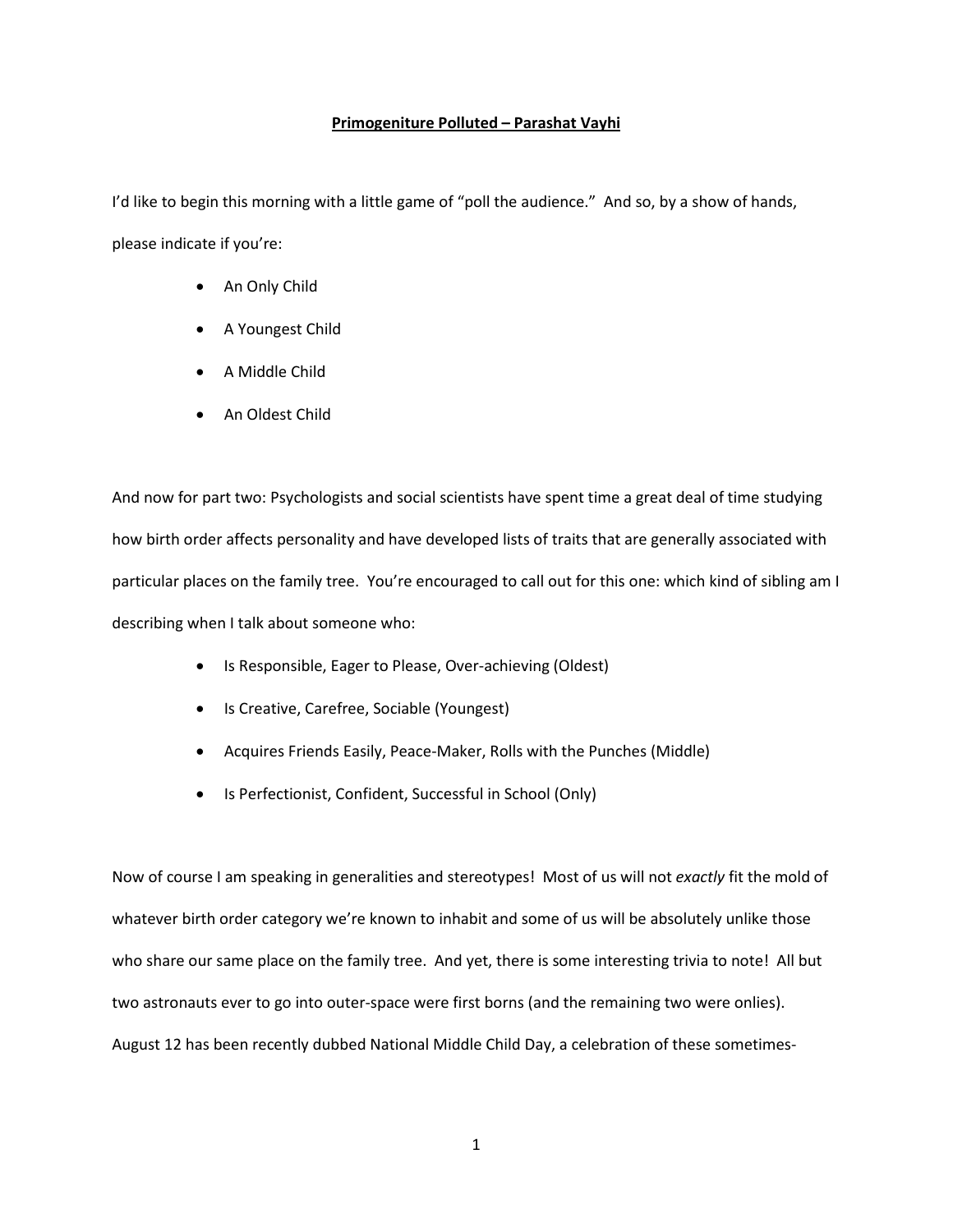## **Primogeniture Polluted – Parashat Vayhi**

I'd like to begin this morning with a little game of "poll the audience." And so, by a show of hands, please indicate if you're:

- An Only Child
- A Youngest Child
- A Middle Child
- An Oldest Child

And now for part two: Psychologists and social scientists have spent time a great deal of time studying how birth order affects personality and have developed lists of traits that are generally associated with particular places on the family tree. You're encouraged to call out for this one: which kind of sibling am I describing when I talk about someone who:

- Is Responsible, Eager to Please, Over-achieving (Oldest)
- Is Creative, Carefree, Sociable (Youngest)
- Acquires Friends Easily, Peace-Maker, Rolls with the Punches (Middle)
- Is Perfectionist, Confident, Successful in School (Only)

Now of course I am speaking in generalities and stereotypes! Most of us will not *exactly* fit the mold of whatever birth order category we're known to inhabit and some of us will be absolutely unlike those who share our same place on the family tree. And yet, there is some interesting trivia to note! All but two astronauts ever to go into outer-space were first borns (and the remaining two were onlies). August 12 has been recently dubbed National Middle Child Day, a celebration of these sometimes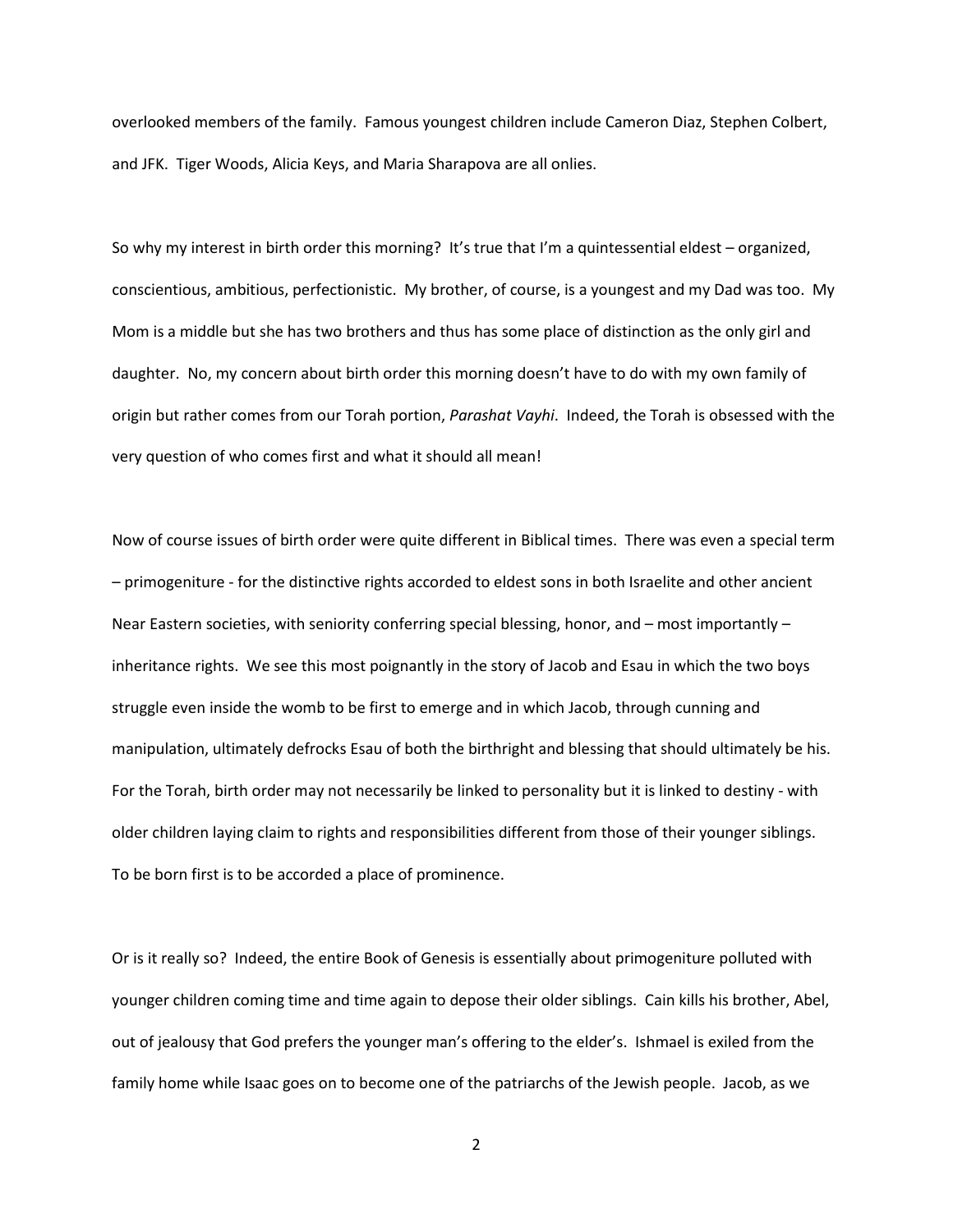overlooked members of the family. Famous youngest children include Cameron Diaz, Stephen Colbert, and JFK. Tiger Woods, Alicia Keys, and Maria Sharapova are all onlies.

So why my interest in birth order this morning? It's true that I'm a quintessential eldest – organized, conscientious, ambitious, perfectionistic. My brother, of course, is a youngest and my Dad was too. My Mom is a middle but she has two brothers and thus has some place of distinction as the only girl and daughter. No, my concern about birth order this morning doesn't have to do with my own family of origin but rather comes from our Torah portion, *Parashat Vayhi*. Indeed, the Torah is obsessed with the very question of who comes first and what it should all mean!

Now of course issues of birth order were quite different in Biblical times. There was even a special term – primogeniture - for the distinctive rights accorded to eldest sons in both Israelite and other ancient Near Eastern societies, with seniority conferring special blessing, honor, and – most importantly – inheritance rights. We see this most poignantly in the story of Jacob and Esau in which the two boys struggle even inside the womb to be first to emerge and in which Jacob, through cunning and manipulation, ultimately defrocks Esau of both the birthright and blessing that should ultimately be his. For the Torah, birth order may not necessarily be linked to personality but it is linked to destiny - with older children laying claim to rights and responsibilities different from those of their younger siblings. To be born first is to be accorded a place of prominence.

Or is it really so? Indeed, the entire Book of Genesis is essentially about primogeniture polluted with younger children coming time and time again to depose their older siblings. Cain kills his brother, Abel, out of jealousy that God prefers the younger man's offering to the elder's. Ishmael is exiled from the family home while Isaac goes on to become one of the patriarchs of the Jewish people. Jacob, as we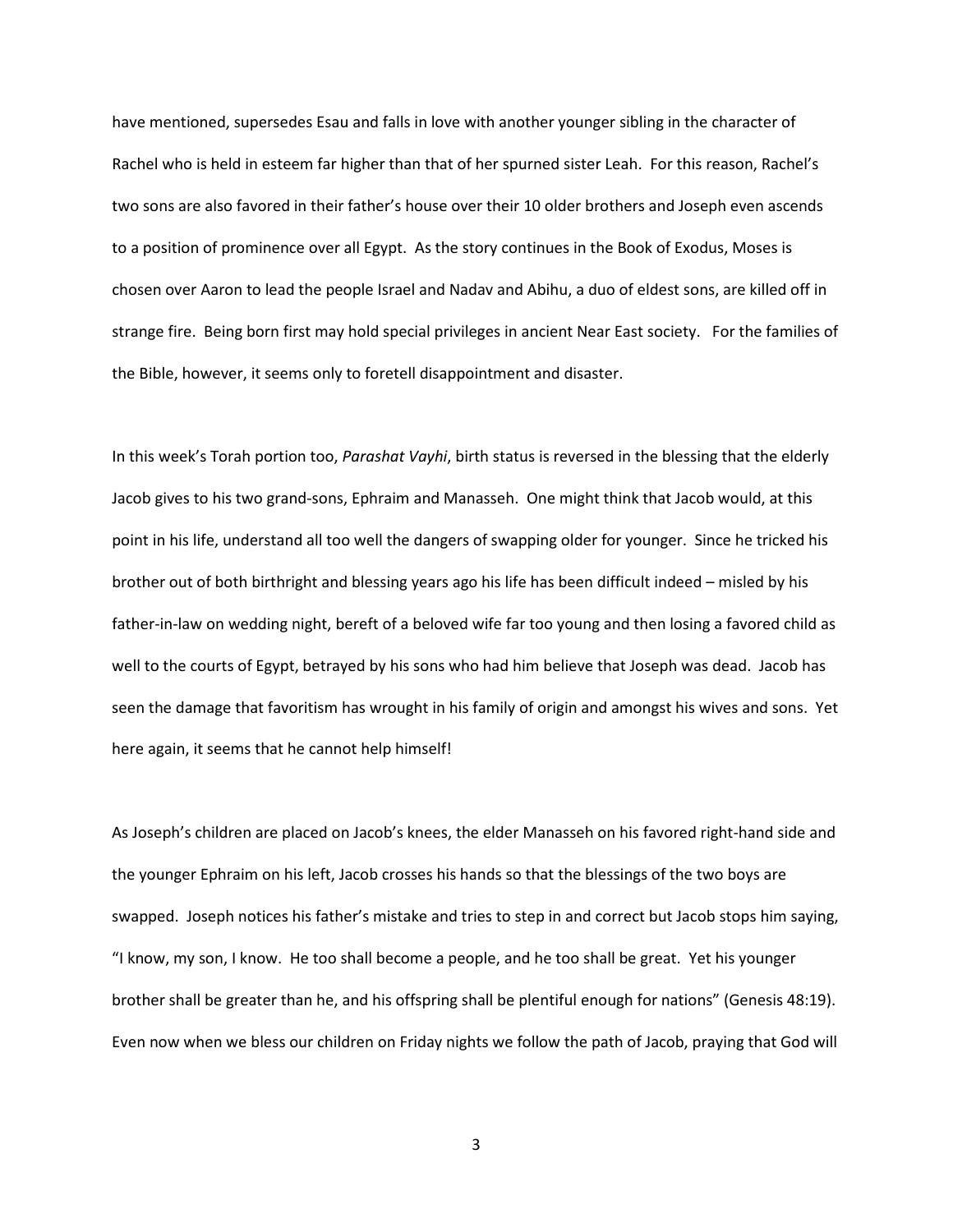have mentioned, supersedes Esau and falls in love with another younger sibling in the character of Rachel who is held in esteem far higher than that of her spurned sister Leah. For this reason, Rachel's two sons are also favored in their father's house over their 10 older brothers and Joseph even ascends to a position of prominence over all Egypt. As the story continues in the Book of Exodus, Moses is chosen over Aaron to lead the people Israel and Nadav and Abihu, a duo of eldest sons, are killed off in strange fire. Being born first may hold special privileges in ancient Near East society. For the families of the Bible, however, it seems only to foretell disappointment and disaster.

In this week's Torah portion too, *Parashat Vayhi*, birth status is reversed in the blessing that the elderly Jacob gives to his two grand-sons, Ephraim and Manasseh. One might think that Jacob would, at this point in his life, understand all too well the dangers of swapping older for younger. Since he tricked his brother out of both birthright and blessing years ago his life has been difficult indeed – misled by his father-in-law on wedding night, bereft of a beloved wife far too young and then losing a favored child as well to the courts of Egypt, betrayed by his sons who had him believe that Joseph was dead. Jacob has seen the damage that favoritism has wrought in his family of origin and amongst his wives and sons. Yet here again, it seems that he cannot help himself!

As Joseph's children are placed on Jacob's knees, the elder Manasseh on his favored right-hand side and the younger Ephraim on his left, Jacob crosses his hands so that the blessings of the two boys are swapped. Joseph notices his father's mistake and tries to step in and correct but Jacob stops him saying, "I know, my son, I know. He too shall become a people, and he too shall be great. Yet his younger brother shall be greater than he, and his offspring shall be plentiful enough for nations" (Genesis 48:19). Even now when we bless our children on Friday nights we follow the path of Jacob, praying that God will

3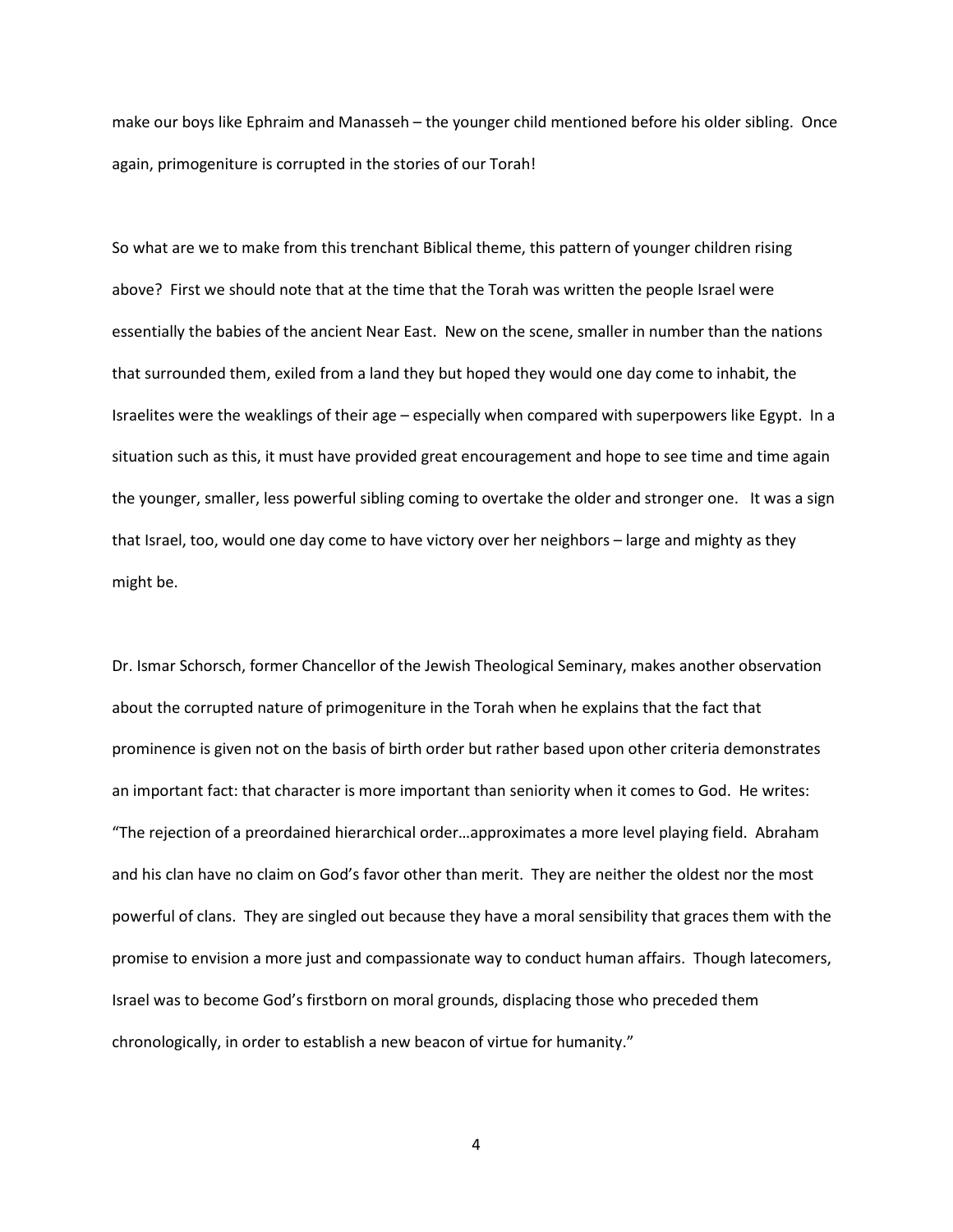make our boys like Ephraim and Manasseh – the younger child mentioned before his older sibling. Once again, primogeniture is corrupted in the stories of our Torah!

So what are we to make from this trenchant Biblical theme, this pattern of younger children rising above? First we should note that at the time that the Torah was written the people Israel were essentially the babies of the ancient Near East. New on the scene, smaller in number than the nations that surrounded them, exiled from a land they but hoped they would one day come to inhabit, the Israelites were the weaklings of their age – especially when compared with superpowers like Egypt. In a situation such as this, it must have provided great encouragement and hope to see time and time again the younger, smaller, less powerful sibling coming to overtake the older and stronger one. It was a sign that Israel, too, would one day come to have victory over her neighbors – large and mighty as they might be.

Dr. Ismar Schorsch, former Chancellor of the Jewish Theological Seminary, makes another observation about the corrupted nature of primogeniture in the Torah when he explains that the fact that prominence is given not on the basis of birth order but rather based upon other criteria demonstrates an important fact: that character is more important than seniority when it comes to God. He writes: "The rejection of a preordained hierarchical order…approximates a more level playing field. Abraham and his clan have no claim on God's favor other than merit. They are neither the oldest nor the most powerful of clans. They are singled out because they have a moral sensibility that graces them with the promise to envision a more just and compassionate way to conduct human affairs. Though latecomers, Israel was to become God's firstborn on moral grounds, displacing those who preceded them chronologically, in order to establish a new beacon of virtue for humanity."

4